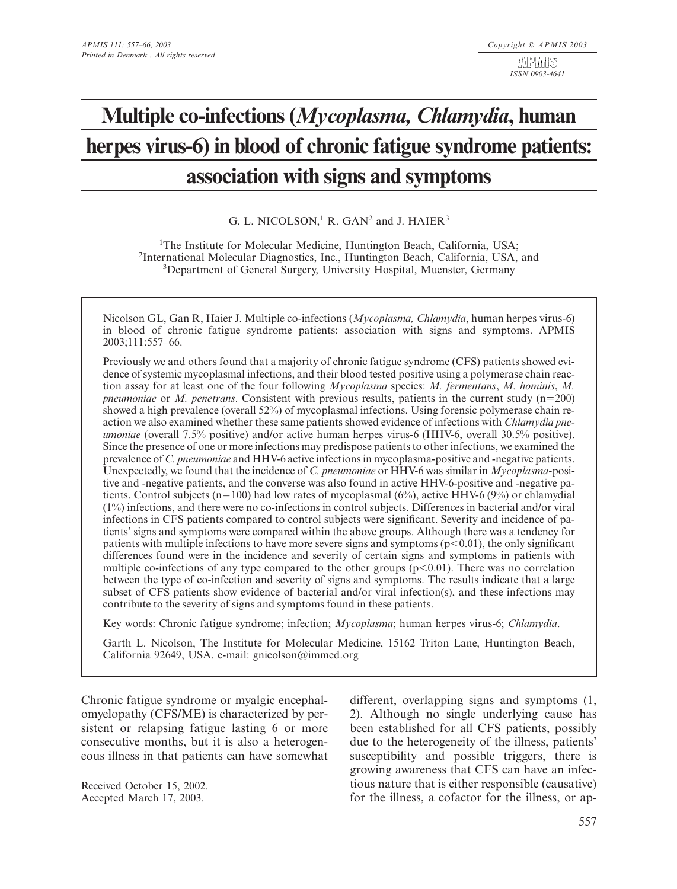# **Multiple co-infections (***Mycoplasma, Chlamydia***, human herpes virus-6) in blood of chronic fatigue syndrome patients: association with signs and symptoms**

G. L. NICOLSON,<sup>1</sup> R. GAN<sup>2</sup> and J. HAIER<sup>3</sup>

<sup>1</sup>The Institute for Molecular Medicine, Huntington Beach, California, USA;<sup>2</sup>International Molecular Diagnostics, Inc. Huntington Beach, California, USA <sup>2</sup>International Molecular Diagnostics, Inc., Huntington Beach, California, USA, and <sup>3</sup>Department of General Surgery, University Hospital, Muenster, Germany

Nicolson GL, Gan R, Haier J. Multiple co-infections (*Mycoplasma, Chlamydia*, human herpes virus-6) in blood of chronic fatigue syndrome patients: association with signs and symptoms. APMIS 2003;111:557–66.

Previously we and others found that a majority of chronic fatigue syndrome (CFS) patients showed evidence of systemic mycoplasmal infections, and their blood tested positive using a polymerase chain reaction assay for at least one of the four following *Mycoplasma* species: *M. fermentans*, *M. hominis*, *M. pneumoniae* or *M. penetrans*. Consistent with previous results, patients in the current study ( $n=200$ ) showed a high prevalence (overall 52%) of mycoplasmal infections. Using forensic polymerase chain reaction we also examined whether these same patients showed evidence of infections with *Chlamydia pneumoniae* (overall 7.5% positive) and/or active human herpes virus-6 (HHV-6, overall 30.5% positive). Since the presence of one or more infections may predispose patients to other infections, we examined the prevalence of *C. pneumoniae* and HHV-6 active infections in mycoplasma-positive and -negative patients. Unexpectedly, we found that the incidence of *C. pneumoniae* or HHV-6 was similar in *Mycoplasma*-positive and -negative patients, and the converse was also found in active HHV-6-positive and -negative patients. Control subjects (n=100) had low rates of mycoplasmal (6%), active HHV-6 (9%) or chlamydial (1%) infections, and there were no co-infections in control subjects. Differences in bacterial and/or viral infections in CFS patients compared to control subjects were significant. Severity and incidence of patients' signs and symptoms were compared within the above groups. Although there was a tendency for patients with multiple infections to have more severe signs and symptoms  $(p<0.01)$ , the only significant differences found were in the incidence and severity of certain signs and symptoms in patients with multiple co-infections of any type compared to the other groups  $(p<0.01)$ . There was no correlation between the type of co-infection and severity of signs and symptoms. The results indicate that a large subset of CFS patients show evidence of bacterial and/or viral infection(s), and these infections may contribute to the severity of signs and symptoms found in these patients.

Key words: Chronic fatigue syndrome; infection; *Mycoplasma*; human herpes virus-6; *Chlamydia*.

Garth L. Nicolson, The Institute for Molecular Medicine, 15162 Triton Lane, Huntington Beach, California 92649, USA. e-mail: gnicolson@immed.org

Chronic fatigue syndrome or myalgic encephalomyelopathy (CFS/ME) is characterized by persistent or relapsing fatigue lasting 6 or more consecutive months, but it is also a heterogeneous illness in that patients can have somewhat different, overlapping signs and symptoms (1, 2). Although no single underlying cause has been established for all CFS patients, possibly due to the heterogeneity of the illness, patients' susceptibility and possible triggers, there is growing awareness that CFS can have an infectious nature that is either responsible (causative) for the illness, a cofactor for the illness, or ap-

Received October 15, 2002. Accepted March 17, 2003.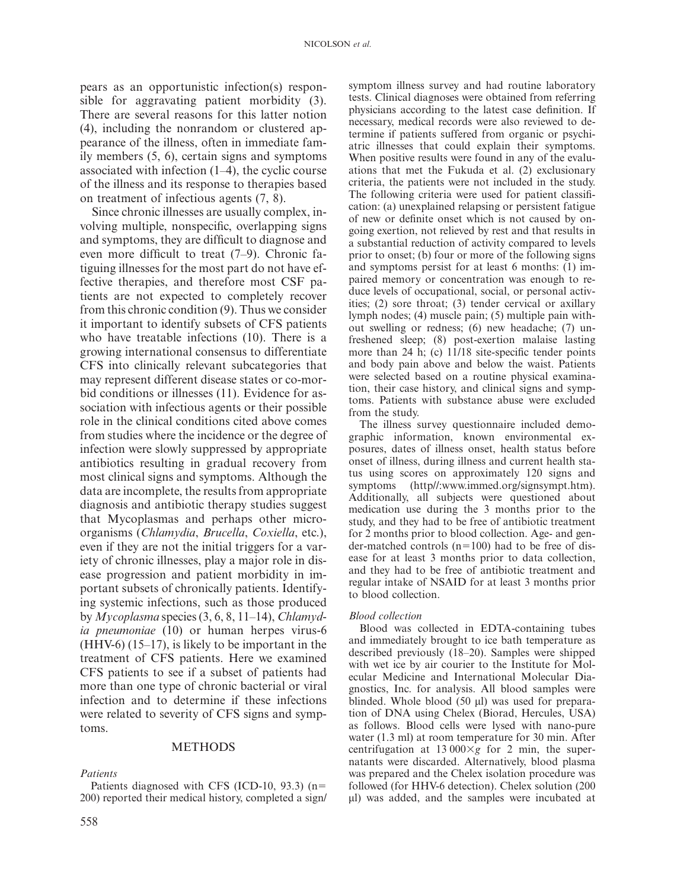pears as an opportunistic infection(s) responsible for aggravating patient morbidity (3). There are several reasons for this latter notion (4), including the nonrandom or clustered appearance of the illness, often in immediate family members (5, 6), certain signs and symptoms associated with infection (1–4), the cyclic course of the illness and its response to therapies based on treatment of infectious agents (7, 8).

Since chronic illnesses are usually complex, involving multiple, nonspecific, overlapping signs and symptoms, they are difficult to diagnose and even more difficult to treat (7–9). Chronic fatiguing illnesses for the most part do not have effective therapies, and therefore most CSF patients are not expected to completely recover from this chronic condition (9). Thus we consider it important to identify subsets of CFS patients who have treatable infections (10). There is a growing international consensus to differentiate CFS into clinically relevant subcategories that may represent different disease states or co-morbid conditions or illnesses (11). Evidence for association with infectious agents or their possible role in the clinical conditions cited above comes from studies where the incidence or the degree of infection were slowly suppressed by appropriate antibiotics resulting in gradual recovery from most clinical signs and symptoms. Although the data are incomplete, the results from appropriate diagnosis and antibiotic therapy studies suggest that Mycoplasmas and perhaps other microorganisms (*Chlamydia*, *Brucella*, *Coxiella*, etc.), even if they are not the initial triggers for a variety of chronic illnesses, play a major role in disease progression and patient morbidity in important subsets of chronically patients. Identifying systemic infections, such as those produced by *Mycoplasma* species (3, 6, 8, 11–14), *Chlamydia pneumoniae* (10) or human herpes virus-6 (HHV-6) (15–17), is likely to be important in the treatment of CFS patients. Here we examined CFS patients to see if a subset of patients had more than one type of chronic bacterial or viral infection and to determine if these infections were related to severity of CFS signs and symptoms.

## METHODS

## *Patients*

Patients diagnosed with CFS (ICD-10, 93.3) (n= 200) reported their medical history, completed a sign/

symptom illness survey and had routine laboratory tests. Clinical diagnoses were obtained from referring physicians according to the latest case definition. If necessary, medical records were also reviewed to determine if patients suffered from organic or psychiatric illnesses that could explain their symptoms. When positive results were found in any of the evaluations that met the Fukuda et al. (2) exclusionary criteria, the patients were not included in the study. The following criteria were used for patient classification: (a) unexplained relapsing or persistent fatigue of new or definite onset which is not caused by ongoing exertion, not relieved by rest and that results in a substantial reduction of activity compared to levels prior to onset; (b) four or more of the following signs and symptoms persist for at least 6 months: (1) impaired memory or concentration was enough to reduce levels of occupational, social, or personal activities; (2) sore throat; (3) tender cervical or axillary lymph nodes; (4) muscle pain; (5) multiple pain without swelling or redness; (6) new headache; (7) unfreshened sleep; (8) post-exertion malaise lasting more than 24 h; (c) 11/18 site-specific tender points and body pain above and below the waist. Patients were selected based on a routine physical examination, their case history, and clinical signs and symptoms. Patients with substance abuse were excluded from the study.

The illness survey questionnaire included demographic information, known environmental exposures, dates of illness onset, health status before onset of illness, during illness and current health status using scores on approximately 120 signs and symptoms (http//:www.immed.org/signsympt.htm). Additionally, all subjects were questioned about medication use during the 3 months prior to the study, and they had to be free of antibiotic treatment for 2 months prior to blood collection. Age- and gender-matched controls  $(n=100)$  had to be free of disease for at least 3 months prior to data collection, and they had to be free of antibiotic treatment and regular intake of NSAID for at least 3 months prior to blood collection.

## *Blood collection*

Blood was collected in EDTA-containing tubes and immediately brought to ice bath temperature as described previously (18–20). Samples were shipped with wet ice by air courier to the Institute for Molecular Medicine and International Molecular Diagnostics, Inc. for analysis. All blood samples were blinded. Whole blood  $(50 \mu l)$  was used for preparation of DNA using Chelex (Biorad, Hercules, USA) as follows. Blood cells were lysed with nano-pure water (1.3 ml) at room temperature for 30 min. After centrifugation at  $13000 \times g$  for 2 min, the supernatants were discarded. Alternatively, blood plasma was prepared and the Chelex isolation procedure was followed (for HHV-6 detection). Chelex solution (200 ml) was added, and the samples were incubated at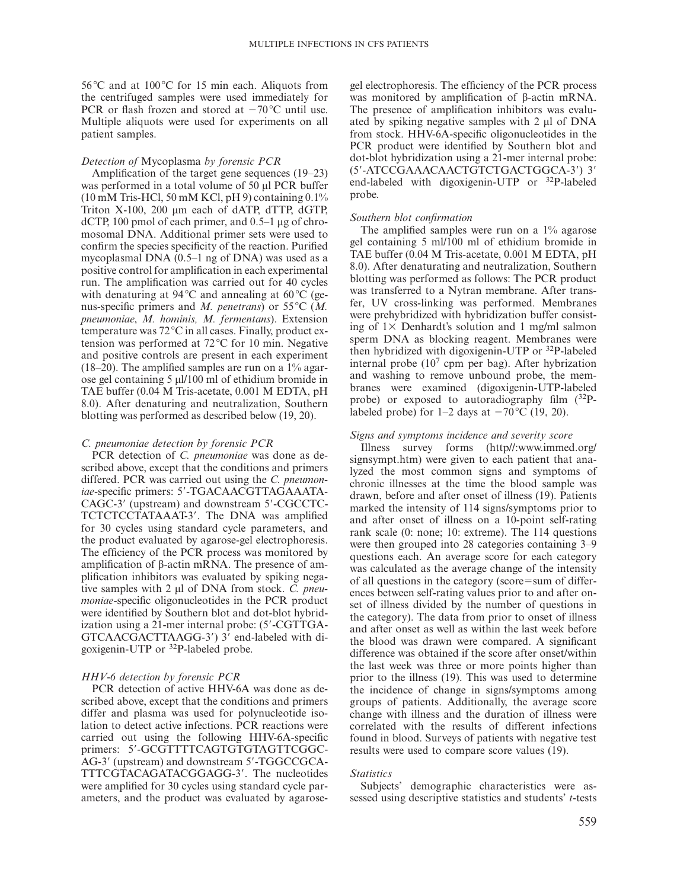$56^{\circ}$ C and at 100 $^{\circ}$ C for 15 min each. Aliquots from the centrifuged samples were used immediately for PCR or flash frozen and stored at  $-70^{\circ}$ C until use. Multiple aliquots were used for experiments on all patient samples.

#### *Detection of* Mycoplasma *by forensic PCR*

Amplification of the target gene sequences (19–23) was performed in a total volume of  $50 \mu$ l PCR buffer  $(10 \text{ mM Tris-HCl}, 50 \text{ mM KCl}, pH 9)$  containing  $0.1\%$ Triton  $X-100$ , 200  $\mu$ m each of dATP, dTTP, dGTP, dCTP, 100 pmol of each primer, and  $0.5-1$  ug of chromosomal DNA. Additional primer sets were used to confirm the species specificity of the reaction. Purified mycoplasmal DNA (0.5–1 ng of DNA) was used as a positive control for amplification in each experimental run. The amplification was carried out for 40 cycles with denaturing at  $94^{\circ}$ C and annealing at  $60^{\circ}$ C (genus-specific primers and *M. penetrans*) or 55 °C (*M. pneumoniae*, *M. hominis, M. fermentans*). Extension temperature was  $72^{\circ}$ C in all cases. Finally, product extension was performed at  $72^{\circ}$ C for 10 min. Negative and positive controls are present in each experiment  $(18–20)$ . The amplified samples are run on a  $1\%$  agarose gel containing  $5 \mu$ l/100 ml of ethidium bromide in TAE buffer (0.04 M Tris-acetate, 0.001 M EDTA, pH 8.0). After denaturing and neutralization, Southern blotting was performed as described below (19, 20).

#### *C. pneumoniae detection by forensic PCR*

PCR detection of *C. pneumoniae* was done as described above, except that the conditions and primers differed. PCR was carried out using the *C. pneumoniae*-specific primers: 5'-TGACAACGTTAGAAATA-CAGC-3' (upstream) and downstream 5'-CGCCTC-TCTCTCCTATAAAT-3'. The DNA was amplified for 30 cycles using standard cycle parameters, and the product evaluated by agarose-gel electrophoresis. The efficiency of the PCR process was monitored by amplification of  $\beta$ -actin mRNA. The presence of amplification inhibitors was evaluated by spiking negative samples with 2 µl of DNA from stock. *C. pneumoniae*-specific oligonucleotides in the PCR product were identified by Southern blot and dot-blot hybridization using a 21-mer internal probe: (5'-CGTTGA-GTCAACGACTTAAGG-3') 3' end-labeled with digoxigenin-UTP or 32P-labeled probe.

#### *HHV-6 detection by forensic PCR*

PCR detection of active HHV-6A was done as described above, except that the conditions and primers differ and plasma was used for polynucleotide isolation to detect active infections. PCR reactions were carried out using the following HHV-6A-specific primers: 5'-GCGTTTTCAGTGTGTAGTTCGGC-AG-3' (upstream) and downstream 5'-TGGCCGCA-TTTCGTACAGATACGGAGG-3'. The nucleotides were amplified for 30 cycles using standard cycle parameters, and the product was evaluated by agarosegel electrophoresis. The efficiency of the PCR process was monitored by amplification of  $\beta$ -actin mRNA. The presence of amplification inhibitors was evaluated by spiking negative samples with  $2 \mu$ l of DNA from stock. HHV-6A-specific oligonucleotides in the PCR product were identified by Southern blot and dot-blot hybridization using a 21-mer internal probe: (5'-ATCCGAAACAACTGTCTGACTGGCA-3') 3' end-labeled with digoxigenin-UTP or 32P-labeled probe.

#### *Southern blot confirmation*

The amplified samples were run on a 1% agarose gel containing 5 ml/100 ml of ethidium bromide in TAE buffer (0.04 M Tris-acetate, 0.001 M EDTA, pH 8.0). After denaturating and neutralization, Southern blotting was performed as follows: The PCR product was transferred to a Nytran membrane. After transfer, UV cross-linking was performed. Membranes were prehybridized with hybridization buffer consisting of  $1\times$  Denhardt's solution and 1 mg/ml salmon sperm DNA as blocking reagent. Membranes were then hybridized with digoxigenin-UTP or 32P-labeled internal probe  $(10^7 \text{ cpm per bag})$ . After hybrization and washing to remove unbound probe, the membranes were examined (digoxigenin-UTP-labeled probe) or exposed to autoradiography film  $(^{32}P$ labeled probe) for 1–2 days at  $-70^{\circ}$ C (19, 20).

## *Signs and symptoms incidence and severity score*

Illness survey forms (http//:www.immed.org/ signsympt.htm) were given to each patient that analyzed the most common signs and symptoms of chronic illnesses at the time the blood sample was drawn, before and after onset of illness (19). Patients marked the intensity of 114 signs/symptoms prior to and after onset of illness on a 10-point self-rating rank scale (0: none; 10: extreme). The 114 questions were then grouped into 28 categories containing 3–9 questions each. An average score for each category was calculated as the average change of the intensity of all questions in the category (score=sum of differences between self-rating values prior to and after onset of illness divided by the number of questions in the category). The data from prior to onset of illness and after onset as well as within the last week before the blood was drawn were compared. A significant difference was obtained if the score after onset/within the last week was three or more points higher than prior to the illness (19). This was used to determine the incidence of change in signs/symptoms among groups of patients. Additionally, the average score change with illness and the duration of illness were correlated with the results of different infections found in blood. Surveys of patients with negative test results were used to compare score values (19).

#### *Statistics*

Subjects' demographic characteristics were assessed using descriptive statistics and students' *t*-tests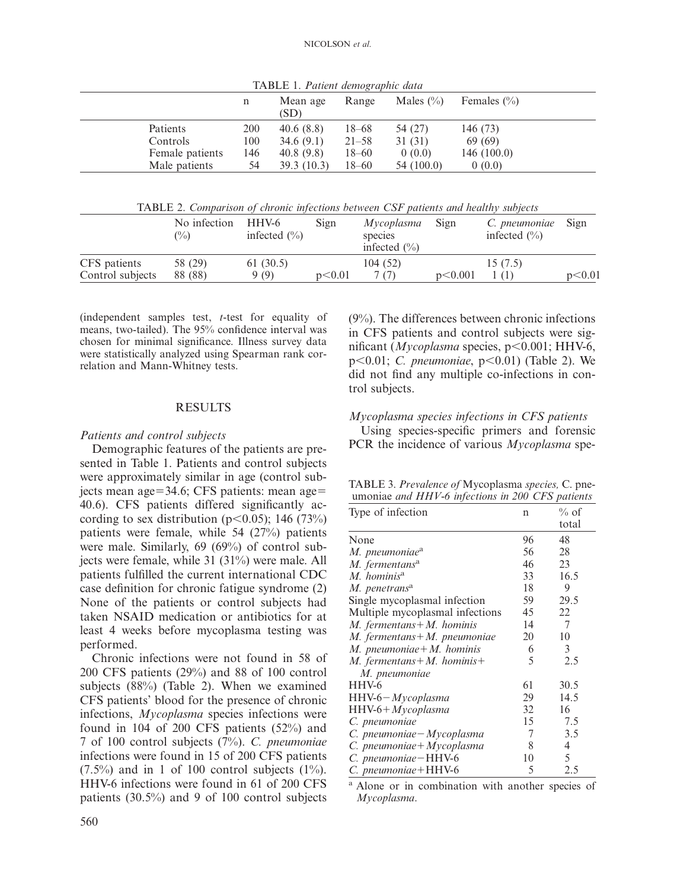| 11 DLL 1, 1 andre achieziaphic auna |                 |     |                  |           |               |                 |
|-------------------------------------|-----------------|-----|------------------|-----------|---------------|-----------------|
|                                     |                 | n   | Mean age<br>(SD) | Range     | Males $(\% )$ | Females $(\% )$ |
|                                     | Patients        | 200 | 40.6(8.8)        | 18–68     | 54 (27)       | 146 (73)        |
|                                     | Controls        | 100 | 34.6(9.1)        | $21 - 58$ | 31(31)        | 69 (69)         |
|                                     | Female patients | 146 | 40.8(9.8)        | $18 - 60$ | 0(0.0)        | 146(100.0)      |
|                                     | Male patients   | 54  | 39.3(10.3)       | $18 - 60$ | 54 (100.0)    | 0(0.0)          |
|                                     |                 |     |                  |           |               |                 |

TABLE 1. *Patient demographic data*

TABLE 2. *Comparison of chronic infections between CSF patients and healthy subjects*

|                  | No infection<br>$\binom{0}{0}$ | HHV-6<br>infected $\binom{0}{0}$ | Sign   | Mycoplasma<br>species<br>infected $(\% )$ | Sign    | C. pneumoniae<br>infected $\binom{0}{0}$ | Sign   |
|------------------|--------------------------------|----------------------------------|--------|-------------------------------------------|---------|------------------------------------------|--------|
| CFS patients     | 58 (29)                        | 61(30.5)                         |        | 104(52)                                   |         | 15(7.5)                                  |        |
| Control subjects | 88 (88)                        | 9(9)                             | p<0.01 | 7(7)                                      | p<0.001 |                                          | p<0.01 |

(independent samples test, *t*-test for equality of means, two-tailed). The 95% confidence interval was chosen for minimal significance. Illness survey data were statistically analyzed using Spearman rank correlation and Mann-Whitney tests.

## RESULTS

## *Patients and control subjects*

Demographic features of the patients are presented in Table 1. Patients and control subjects were approximately similar in age (control subjects mean age= $34.6$ ; CFS patients: mean age= 40.6). CFS patients differed significantly according to sex distribution ( $p<0.05$ ); 146 (73%) patients were female, while 54 (27%) patients were male. Similarly, 69 (69%) of control subjects were female, while 31 (31%) were male. All patients fulfilled the current international CDC case definition for chronic fatigue syndrome (2) None of the patients or control subjects had taken NSAID medication or antibiotics for at least 4 weeks before mycoplasma testing was performed.

Chronic infections were not found in 58 of 200 CFS patients (29%) and 88 of 100 control subjects (88%) (Table 2). When we examined CFS patients' blood for the presence of chronic infections, *Mycoplasma* species infections were found in 104 of 200 CFS patients (52%) and 7 of 100 control subjects (7%). *C. pneumoniae* infections were found in 15 of 200 CFS patients  $(7.5\%)$  and in 1 of 100 control subjects  $(1\%)$ . HHV-6 infections were found in 61 of 200 CFS patients (30.5%) and 9 of 100 control subjects

(9%). The differences between chronic infections in CFS patients and control subjects were significant (*Mycoplasma* species, p<0.001; HHV-6,  $p<0.01$ ; *C. pneumoniae*,  $p<0.01$ ) (Table 2). We did not find any multiple co-infections in control subjects.

# *Mycoplasma species infections in CFS patients*

Using species-specific primers and forensic PCR the incidence of various *Mycoplasma* spe-

TABLE 3. *Prevalence of* Mycoplasma *species,* C. pneumoniae *and HHV-6 infections in 200 CFS patients*

| Type of infection                | n  | $%$ of |
|----------------------------------|----|--------|
|                                  |    | total  |
| None                             | 96 | 48     |
| M. pneumoniae <sup>a</sup>       | 56 | 28     |
| M. fermentans <sup>a</sup>       | 46 | 23     |
| $M.$ hominis <sup>a</sup>        | 33 | 16.5   |
| M. penetrans <sup>a</sup>        | 18 | 9      |
| Single mycoplasmal infection     | 59 | 29.5   |
| Multiple mycoplasmal infections  | 45 | 22     |
| $M.$ fermentans + $M.$ hominis   | 14 | 7      |
| M. fermentans+M. pneumoniae      | 20 | 10     |
| $M.$ pneumoniae + $M.$ hominis   | 6  | 3      |
| $M.$ fermentans + $M.$ hominis + | 5  | 2.5    |
| M. pneumoniae                    |    |        |
| HHV-6                            | 61 | 30.5   |
| HHV-6-Mycoplasma                 | 29 | 14.5   |
| HHV-6+Mycoplasma                 | 32 | 16     |
| C. pneumoniae                    | 15 | 7.5    |
| C. pneumoniae - Mycoplasma       | 7  | 3.5    |
| C. pneumoniae + Mycoplasma       | 8  | 4      |
| C. pneumoniae-HHV-6              | 10 | 5      |
| $C.$ pneumoniae + HHV-6          | 5  | 2.5    |

<sup>a</sup> Alone or in combination with another species of *Mycoplasma*.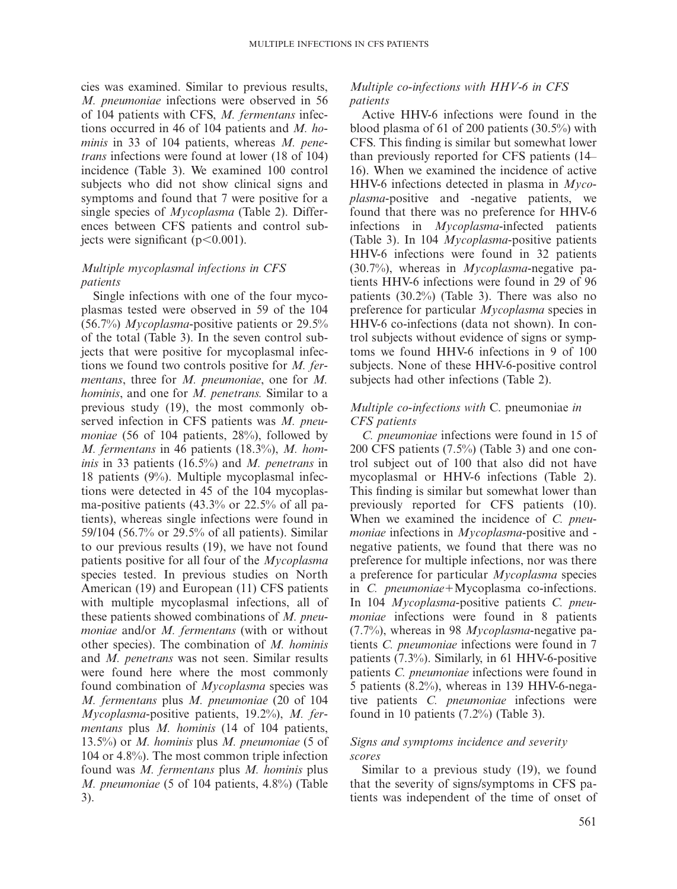cies was examined. Similar to previous results, *M. pneumoniae* infections were observed in 56 of 104 patients with CFS, *M. fermentans* infections occurred in 46 of 104 patients and *M. hominis* in 33 of 104 patients, whereas *M. penetrans* infections were found at lower (18 of 104) incidence (Table 3). We examined 100 control subjects who did not show clinical signs and symptoms and found that 7 were positive for a single species of *Mycoplasma* (Table 2). Differences between CFS patients and control subjects were significant  $(p<0.001)$ .

# *Multiple mycoplasmal infections in CFS patients*

Single infections with one of the four mycoplasmas tested were observed in 59 of the 104 (56.7%) *Mycoplasma*-positive patients or 29.5% of the total (Table 3). In the seven control subjects that were positive for mycoplasmal infections we found two controls positive for *M. fermentans*, three for *M. pneumoniae*, one for *M. hominis*, and one for *M. penetrans.* Similar to a previous study (19), the most commonly observed infection in CFS patients was *M. pneumoniae* (56 of 104 patients, 28%), followed by *M. fermentans* in 46 patients (18.3%), *M. hominis* in 33 patients (16.5%) and *M. penetrans* in 18 patients (9%). Multiple mycoplasmal infections were detected in 45 of the 104 mycoplasma-positive patients (43.3% or 22.5% of all patients), whereas single infections were found in 59/104 (56.7% or 29.5% of all patients). Similar to our previous results (19), we have not found patients positive for all four of the *Mycoplasma* species tested. In previous studies on North American (19) and European (11) CFS patients with multiple mycoplasmal infections, all of these patients showed combinations of *M. pneumoniae* and/or *M. fermentans* (with or without other species). The combination of *M. hominis* and *M. penetrans* was not seen. Similar results were found here where the most commonly found combination of *Mycoplasma* species was *M. fermentans* plus *M. pneumoniae* (20 of 104 *Mycoplasma*-positive patients, 19.2%), *M. fermentans* plus *M. hominis* (14 of 104 patients, 13.5%) or *M. hominis* plus *M. pneumoniae* (5 of 104 or 4.8%). The most common triple infection found was *M. fermentans* plus *M. hominis* plus *M. pneumoniae* (5 of 104 patients, 4.8%) (Table 3).

# *Multiple co-infections with HHV-6 in CFS patients*

Active HHV-6 infections were found in the blood plasma of 61 of 200 patients (30.5%) with CFS. This finding is similar but somewhat lower than previously reported for CFS patients (14– 16). When we examined the incidence of active HHV-6 infections detected in plasma in *Mycoplasma*-positive and -negative patients, we found that there was no preference for HHV-6 infections in *Mycoplasma*-infected patients (Table 3). In 104 *Mycoplasma*-positive patients HHV-6 infections were found in 32 patients (30.7%), whereas in *Mycoplasma*-negative patients HHV-6 infections were found in 29 of 96 patients (30.2%) (Table 3). There was also no preference for particular *Mycoplasma* species in HHV-6 co-infections (data not shown). In control subjects without evidence of signs or symptoms we found HHV-6 infections in 9 of 100 subjects. None of these HHV-6-positive control subjects had other infections (Table 2).

# *Multiple co-infections with* C. pneumoniae *in CFS patients*

*C. pneumoniae* infections were found in 15 of 200 CFS patients (7.5%) (Table 3) and one control subject out of 100 that also did not have mycoplasmal or HHV-6 infections (Table 2). This finding is similar but somewhat lower than previously reported for CFS patients (10). When we examined the incidence of *C. pneumoniae* infections in *Mycoplasma*-positive and negative patients, we found that there was no preference for multiple infections, nor was there a preference for particular *Mycoplasma* species in *C. pneumoniae* + Mycoplasma co-infections. In 104 *Mycoplasma*-positive patients *C. pneumoniae* infections were found in 8 patients (7.7%), whereas in 98 *Mycoplasma*-negative patients *C. pneumoniae* infections were found in 7 patients (7.3%). Similarly, in 61 HHV-6-positive patients *C. pneumoniae* infections were found in 5 patients (8.2%), whereas in 139 HHV-6-negative patients *C. pneumoniae* infections were found in 10 patients (7.2%) (Table 3).

# *Signs and symptoms incidence and severity scores*

Similar to a previous study (19), we found that the severity of signs/symptoms in CFS patients was independent of the time of onset of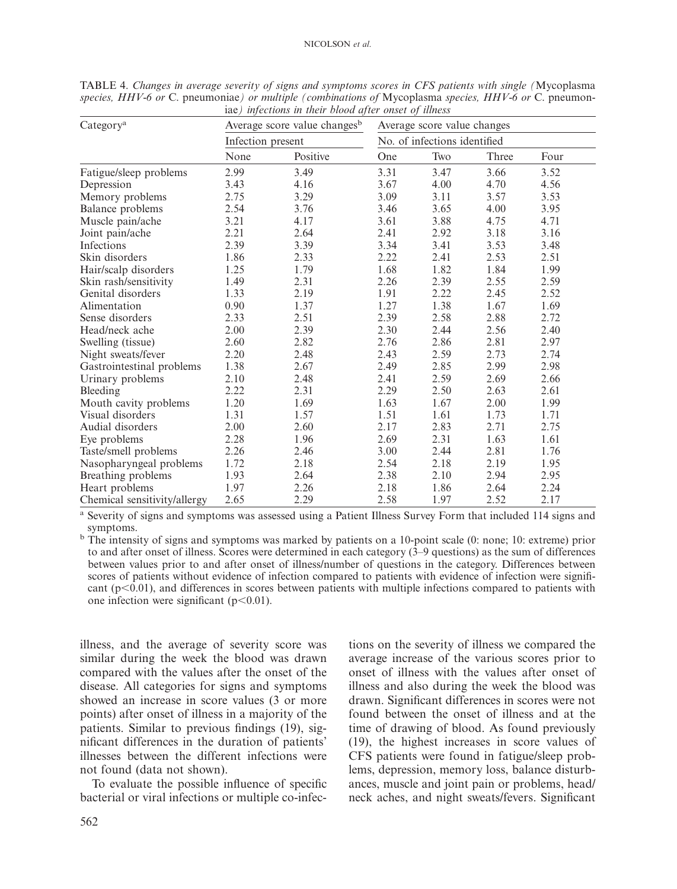| Category <sup>a</sup>        | Average score value changes <sup>b</sup> |          | Average score value changes  |      |       |      |  |
|------------------------------|------------------------------------------|----------|------------------------------|------|-------|------|--|
|                              | Infection present                        |          | No. of infections identified |      |       |      |  |
|                              | None                                     | Positive | One                          | Two  | Three | Four |  |
| Fatigue/sleep problems       | 2.99                                     | 3.49     | 3.31                         | 3.47 | 3.66  | 3.52 |  |
| Depression                   | 3.43                                     | 4.16     | 3.67                         | 4.00 | 4.70  | 4.56 |  |
| Memory problems              | 2.75                                     | 3.29     | 3.09                         | 3.11 | 3.57  | 3.53 |  |
| Balance problems             | 2.54                                     | 3.76     | 3.46                         | 3.65 | 4.00  | 3.95 |  |
| Muscle pain/ache             | 3.21                                     | 4.17     | 3.61                         | 3.88 | 4.75  | 4.71 |  |
| Joint pain/ache              | 2.21                                     | 2.64     | 2.41                         | 2.92 | 3.18  | 3.16 |  |
| Infections                   | 2.39                                     | 3.39     | 3.34                         | 3.41 | 3.53  | 3.48 |  |
| Skin disorders               | 1.86                                     | 2.33     | 2.22                         | 2.41 | 2.53  | 2.51 |  |
| Hair/scalp disorders         | 1.25                                     | 1.79     | 1.68                         | 1.82 | 1.84  | 1.99 |  |
| Skin rash/sensitivity        | 1.49                                     | 2.31     | 2.26                         | 2.39 | 2.55  | 2.59 |  |
| Genital disorders            | 1.33                                     | 2.19     | 1.91                         | 2.22 | 2.45  | 2.52 |  |
| Alimentation                 | 0.90                                     | 1.37     | 1.27                         | 1.38 | 1.67  | 1.69 |  |
| Sense disorders              | 2.33                                     | 2.51     | 2.39                         | 2.58 | 2.88  | 2.72 |  |
| Head/neck ache               | 2.00                                     | 2.39     | 2.30                         | 2.44 | 2.56  | 2.40 |  |
| Swelling (tissue)            | 2.60                                     | 2.82     | 2.76                         | 2.86 | 2.81  | 2.97 |  |
| Night sweats/fever           | 2.20                                     | 2.48     | 2.43                         | 2.59 | 2.73  | 2.74 |  |
| Gastrointestinal problems    | 1.38                                     | 2.67     | 2.49                         | 2.85 | 2.99  | 2.98 |  |
| Urinary problems             | 2.10                                     | 2.48     | 2.41                         | 2.59 | 2.69  | 2.66 |  |
| Bleeding                     | 2.22                                     | 2.31     | 2.29                         | 2.50 | 2.63  | 2.61 |  |
| Mouth cavity problems        | 1.20                                     | 1.69     | 1.63                         | 1.67 | 2.00  | 1.99 |  |
| Visual disorders             | 1.31                                     | 1.57     | 1.51                         | 1.61 | 1.73  | 1.71 |  |
| Audial disorders             | 2.00                                     | 2.60     | 2.17                         | 2.83 | 2.71  | 2.75 |  |
| Eye problems                 | 2.28                                     | 1.96     | 2.69                         | 2.31 | 1.63  | 1.61 |  |
| Taste/smell problems         | 2.26                                     | 2.46     | 3.00                         | 2.44 | 2.81  | 1.76 |  |
| Nasopharyngeal problems      | 1.72                                     | 2.18     | 2.54                         | 2.18 | 2.19  | 1.95 |  |
| Breathing problems           | 1.93                                     | 2.64     | 2.38                         | 2.10 | 2.94  | 2.95 |  |
| Heart problems               | 1.97                                     | 2.26     | 2.18                         | 1.86 | 2.64  | 2.24 |  |
| Chemical sensitivity/allergy | 2.65                                     | 2.29     | 2.58                         | 1.97 | 2.52  | 2.17 |  |

TABLE 4. *Changes in average severity of signs and symptoms scores in CFS patients with single (*Mycoplasma *species, HHV-6 or* C. pneumoniae*) or multiple (combinations of* Mycoplasma *species, HHV-6 or* C. pneumoniae*) infections in their blood after onset of illness*

<sup>a</sup> Severity of signs and symptoms was assessed using a Patient Illness Survey Form that included 114 signs and symptoms.

b The intensity of signs and symptoms was marked by patients on a 10-point scale (0: none; 10: extreme) prior to and after onset of illness. Scores were determined in each category  $(3-9)$  questions) as the sum of differences between values prior to and after onset of illness/number of questions in the category. Differences between scores of patients without evidence of infection compared to patients with evidence of infection were significant  $(p<0.01)$ , and differences in scores between patients with multiple infections compared to patients with one infection were significant  $(p<0.01)$ .

illness, and the average of severity score was similar during the week the blood was drawn compared with the values after the onset of the disease. All categories for signs and symptoms showed an increase in score values (3 or more points) after onset of illness in a majority of the patients. Similar to previous findings (19), significant differences in the duration of patients' illnesses between the different infections were not found (data not shown).

To evaluate the possible influence of specific bacterial or viral infections or multiple co-infec-

tions on the severity of illness we compared the average increase of the various scores prior to onset of illness with the values after onset of illness and also during the week the blood was drawn. Significant differences in scores were not found between the onset of illness and at the time of drawing of blood. As found previously (19), the highest increases in score values of CFS patients were found in fatigue/sleep problems, depression, memory loss, balance disturbances, muscle and joint pain or problems, head/ neck aches, and night sweats/fevers. Significant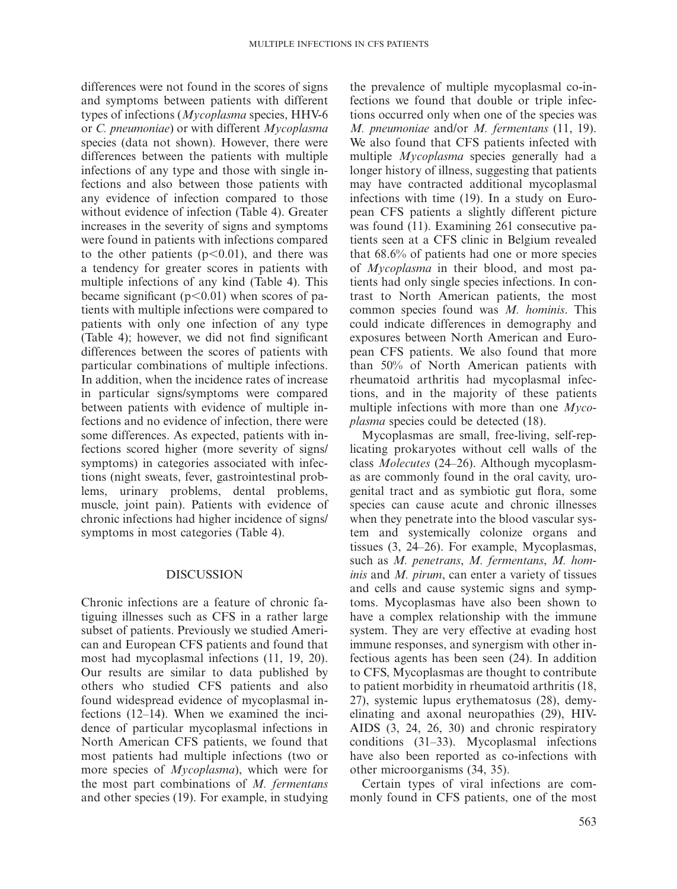differences were not found in the scores of signs and symptoms between patients with different types of infections (*Mycoplasma* species, HHV-6 or *C. pneumoniae*) or with different *Mycoplasma* species (data not shown). However, there were differences between the patients with multiple infections of any type and those with single infections and also between those patients with any evidence of infection compared to those without evidence of infection (Table 4). Greater increases in the severity of signs and symptoms were found in patients with infections compared to the other patients  $(p<0.01)$ , and there was a tendency for greater scores in patients with multiple infections of any kind (Table 4). This became significant  $(p<0.01)$  when scores of patients with multiple infections were compared to patients with only one infection of any type (Table 4); however, we did not find significant differences between the scores of patients with particular combinations of multiple infections. In addition, when the incidence rates of increase in particular signs/symptoms were compared between patients with evidence of multiple infections and no evidence of infection, there were some differences. As expected, patients with infections scored higher (more severity of signs/ symptoms) in categories associated with infections (night sweats, fever, gastrointestinal problems, urinary problems, dental problems, muscle, joint pain). Patients with evidence of chronic infections had higher incidence of signs/ symptoms in most categories (Table 4).

# DISCUSSION

Chronic infections are a feature of chronic fatiguing illnesses such as CFS in a rather large subset of patients. Previously we studied American and European CFS patients and found that most had mycoplasmal infections (11, 19, 20). Our results are similar to data published by others who studied CFS patients and also found widespread evidence of mycoplasmal infections (12–14). When we examined the incidence of particular mycoplasmal infections in North American CFS patients, we found that most patients had multiple infections (two or more species of *Mycoplasma*), which were for the most part combinations of *M. fermentans* and other species (19). For example, in studying

the prevalence of multiple mycoplasmal co-infections we found that double or triple infections occurred only when one of the species was *M. pneumoniae* and/or *M. fermentans* (11, 19). We also found that CFS patients infected with multiple *Mycoplasma* species generally had a longer history of illness, suggesting that patients may have contracted additional mycoplasmal infections with time (19). In a study on European CFS patients a slightly different picture was found (11). Examining 261 consecutive patients seen at a CFS clinic in Belgium revealed that 68.6% of patients had one or more species of *Mycoplasma* in their blood, and most patients had only single species infections. In contrast to North American patients, the most common species found was *M. hominis*. This could indicate differences in demography and exposures between North American and European CFS patients. We also found that more than 50% of North American patients with rheumatoid arthritis had mycoplasmal infections, and in the majority of these patients multiple infections with more than one *Mycoplasma* species could be detected (18).

Mycoplasmas are small, free-living, self-replicating prokaryotes without cell walls of the class *Molecutes* (24–26). Although mycoplasmas are commonly found in the oral cavity, urogenital tract and as symbiotic gut flora, some species can cause acute and chronic illnesses when they penetrate into the blood vascular system and systemically colonize organs and tissues (3, 24–26). For example, Mycoplasmas, such as *M. penetrans*, *M. fermentans*, *M. hominis* and *M. pirum*, can enter a variety of tissues and cells and cause systemic signs and symptoms. Mycoplasmas have also been shown to have a complex relationship with the immune system. They are very effective at evading host immune responses, and synergism with other infectious agents has been seen (24). In addition to CFS, Mycoplasmas are thought to contribute to patient morbidity in rheumatoid arthritis (18, 27), systemic lupus erythematosus (28), demyelinating and axonal neuropathies (29), HIV-AIDS (3, 24, 26, 30) and chronic respiratory conditions (31–33). Mycoplasmal infections have also been reported as co-infections with other microorganisms (34, 35).

Certain types of viral infections are commonly found in CFS patients, one of the most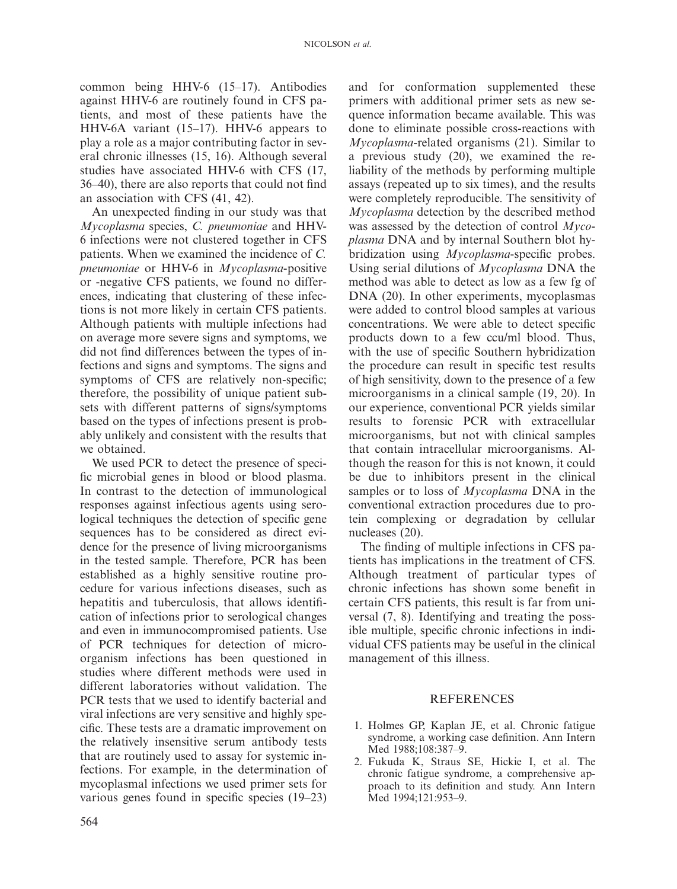common being HHV-6 (15–17). Antibodies against HHV-6 are routinely found in CFS patients, and most of these patients have the HHV-6A variant (15–17). HHV-6 appears to play a role as a major contributing factor in several chronic illnesses (15, 16). Although several studies have associated HHV-6 with CFS (17, 36–40), there are also reports that could not find an association with CFS (41, 42).

An unexpected finding in our study was that *Mycoplasma* species, *C. pneumoniae* and HHV-6 infections were not clustered together in CFS patients. When we examined the incidence of *C. pneumoniae* or HHV-6 in *Mycoplasma*-positive or -negative CFS patients, we found no differences, indicating that clustering of these infections is not more likely in certain CFS patients. Although patients with multiple infections had on average more severe signs and symptoms, we did not find differences between the types of infections and signs and symptoms. The signs and symptoms of CFS are relatively non-specific; therefore, the possibility of unique patient subsets with different patterns of signs/symptoms based on the types of infections present is probably unlikely and consistent with the results that we obtained.

We used PCR to detect the presence of specific microbial genes in blood or blood plasma. In contrast to the detection of immunological responses against infectious agents using serological techniques the detection of specific gene sequences has to be considered as direct evidence for the presence of living microorganisms in the tested sample. Therefore, PCR has been established as a highly sensitive routine procedure for various infections diseases, such as hepatitis and tuberculosis, that allows identification of infections prior to serological changes and even in immunocompromised patients. Use of PCR techniques for detection of microorganism infections has been questioned in studies where different methods were used in different laboratories without validation. The PCR tests that we used to identify bacterial and viral infections are very sensitive and highly specific. These tests are a dramatic improvement on the relatively insensitive serum antibody tests that are routinely used to assay for systemic infections. For example, in the determination of mycoplasmal infections we used primer sets for various genes found in specific species (19–23)

and for conformation supplemented these primers with additional primer sets as new sequence information became available. This was done to eliminate possible cross-reactions with *Mycoplasma*-related organisms (21). Similar to a previous study (20), we examined the reliability of the methods by performing multiple assays (repeated up to six times), and the results were completely reproducible. The sensitivity of *Mycoplasma* detection by the described method was assessed by the detection of control *Mycoplasma* DNA and by internal Southern blot hybridization using *Mycoplasma*-specific probes. Using serial dilutions of *Mycoplasma* DNA the method was able to detect as low as a few fg of DNA (20). In other experiments, mycoplasmas were added to control blood samples at various concentrations. We were able to detect specific products down to a few ccu/ml blood. Thus, with the use of specific Southern hybridization the procedure can result in specific test results of high sensitivity, down to the presence of a few microorganisms in a clinical sample (19, 20). In our experience, conventional PCR yields similar results to forensic PCR with extracellular microorganisms, but not with clinical samples that contain intracellular microorganisms. Although the reason for this is not known, it could be due to inhibitors present in the clinical samples or to loss of *Mycoplasma* DNA in the conventional extraction procedures due to protein complexing or degradation by cellular nucleases (20).

The finding of multiple infections in CFS patients has implications in the treatment of CFS. Although treatment of particular types of chronic infections has shown some benefit in certain CFS patients, this result is far from universal (7, 8). Identifying and treating the possible multiple, specific chronic infections in individual CFS patients may be useful in the clinical management of this illness.

## REFERENCES

- 1. Holmes GP, Kaplan JE, et al. Chronic fatigue syndrome, a working case definition. Ann Intern Med 1988;108:387–9.
- 2. Fukuda K, Straus SE, Hickie I, et al. The chronic fatigue syndrome, a comprehensive approach to its definition and study. Ann Intern Med 1994;121:953–9.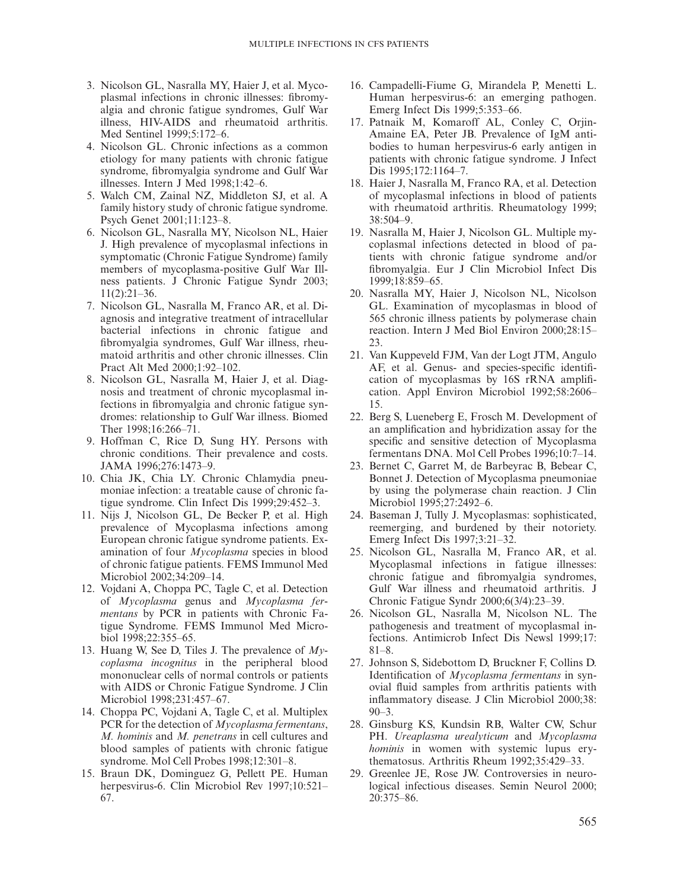- 3. Nicolson GL, Nasralla MY, Haier J, et al. Mycoplasmal infections in chronic illnesses: fibromyalgia and chronic fatigue syndromes, Gulf War illness, HIV-AIDS and rheumatoid arthritis. Med Sentinel 1999;5:172–6.
- 4. Nicolson GL. Chronic infections as a common etiology for many patients with chronic fatigue syndrome, fibromyalgia syndrome and Gulf War illnesses. Intern J Med 1998;1:42–6.
- 5. Walch CM, Zainal NZ, Middleton SJ, et al. A family history study of chronic fatigue syndrome. Psych Genet 2001;11:123–8.
- 6. Nicolson GL, Nasralla MY, Nicolson NL, Haier J. High prevalence of mycoplasmal infections in symptomatic (Chronic Fatigue Syndrome) family members of mycoplasma-positive Gulf War Illness patients. J Chronic Fatigue Syndr 2003; 11(2):21–36.
- 7. Nicolson GL, Nasralla M, Franco AR, et al. Diagnosis and integrative treatment of intracellular bacterial infections in chronic fatigue and fibromyalgia syndromes, Gulf War illness, rheumatoid arthritis and other chronic illnesses. Clin Pract Alt Med 2000;1:92–102.
- 8. Nicolson GL, Nasralla M, Haier J, et al. Diagnosis and treatment of chronic mycoplasmal infections in fibromyalgia and chronic fatigue syndromes: relationship to Gulf War illness. Biomed Ther 1998;16:266–71.
- 9. Hoffman C, Rice D, Sung HY. Persons with chronic conditions. Their prevalence and costs. JAMA 1996;276:1473–9.
- 10. Chia JK, Chia LY. Chronic Chlamydia pneumoniae infection: a treatable cause of chronic fatigue syndrome. Clin Infect Dis 1999;29:452–3.
- 11. Nijs J, Nicolson GL, De Becker P, et al. High prevalence of Mycoplasma infections among European chronic fatigue syndrome patients. Examination of four *Mycoplasma* species in blood of chronic fatigue patients. FEMS Immunol Med Microbiol 2002;34:209–14.
- 12. Vojdani A, Choppa PC, Tagle C, et al. Detection of *Mycoplasma* genus and *Mycoplasma fermentans* by PCR in patients with Chronic Fatigue Syndrome. FEMS Immunol Med Microbiol 1998;22:355–65.
- 13. Huang W, See D, Tiles J. The prevalence of *Mycoplasma incognitus* in the peripheral blood mononuclear cells of normal controls or patients with AIDS or Chronic Fatigue Syndrome. J Clin Microbiol 1998;231:457–67.
- 14. Choppa PC, Vojdani A, Tagle C, et al. Multiplex PCR for the detection of *Mycoplasma fermentans*, *M. hominis* and *M. penetrans* in cell cultures and blood samples of patients with chronic fatigue syndrome. Mol Cell Probes 1998;12:301–8.
- 15. Braun DK, Dominguez G, Pellett PE. Human herpesvirus-6. Clin Microbiol Rev 1997;10:521– 67.
- 16. Campadelli-Fiume G, Mirandela P, Menetti L. Human herpesvirus-6: an emerging pathogen. Emerg Infect Dis 1999;5:353–66.
- 17. Patnaik M, Komaroff AL, Conley C, Orjin-Amaine EA, Peter JB. Prevalence of IgM antibodies to human herpesvirus-6 early antigen in patients with chronic fatigue syndrome. J Infect Dis 1995;172:1164–7.
- 18. Haier J, Nasralla M, Franco RA, et al. Detection of mycoplasmal infections in blood of patients with rheumatoid arthritis. Rheumatology 1999; 38:504–9.
- 19. Nasralla M, Haier J, Nicolson GL. Multiple mycoplasmal infections detected in blood of patients with chronic fatigue syndrome and/or fibromyalgia. Eur J Clin Microbiol Infect Dis 1999;18:859–65.
- 20. Nasralla MY, Haier J, Nicolson NL, Nicolson GL. Examination of mycoplasmas in blood of 565 chronic illness patients by polymerase chain reaction. Intern J Med Biol Environ 2000;28:15– 23.
- 21. Van Kuppeveld FJM, Van der Logt JTM, Angulo AF, et al. Genus- and species-specific identification of mycoplasmas by 16S rRNA amplification. Appl Environ Microbiol 1992;58:2606– 15.
- 22. Berg S, Lueneberg E, Frosch M. Development of an amplification and hybridization assay for the specific and sensitive detection of Mycoplasma fermentans DNA. Mol Cell Probes 1996;10:7–14.
- 23. Bernet C, Garret M, de Barbeyrac B, Bebear C, Bonnet J. Detection of Mycoplasma pneumoniae by using the polymerase chain reaction. J Clin Microbiol 1995;27:2492–6.
- 24. Baseman J, Tully J. Mycoplasmas: sophisticated, reemerging, and burdened by their notoriety. Emerg Infect Dis 1997;3:21–32.
- 25. Nicolson GL, Nasralla M, Franco AR, et al. Mycoplasmal infections in fatigue illnesses: chronic fatigue and fibromyalgia syndromes, Gulf War illness and rheumatoid arthritis. J Chronic Fatigue Syndr 2000;6(3/4):23–39.
- 26. Nicolson GL, Nasralla M, Nicolson NL. The pathogenesis and treatment of mycoplasmal infections. Antimicrob Infect Dis Newsl 1999;17: 81–8.
- 27. Johnson S, Sidebottom D, Bruckner F, Collins D. Identification of *Mycoplasma fermentans* in synovial fluid samples from arthritis patients with inflammatory disease. J Clin Microbiol 2000;38: 90–3.
- 28. Ginsburg KS, Kundsin RB, Walter CW, Schur PH. *Ureaplasma urealyticum* and *Mycoplasma hominis* in women with systemic lupus erythematosus. Arthritis Rheum 1992;35:429–33.
- 29. Greenlee JE, Rose JW. Controversies in neurological infectious diseases. Semin Neurol 2000; 20:375–86.